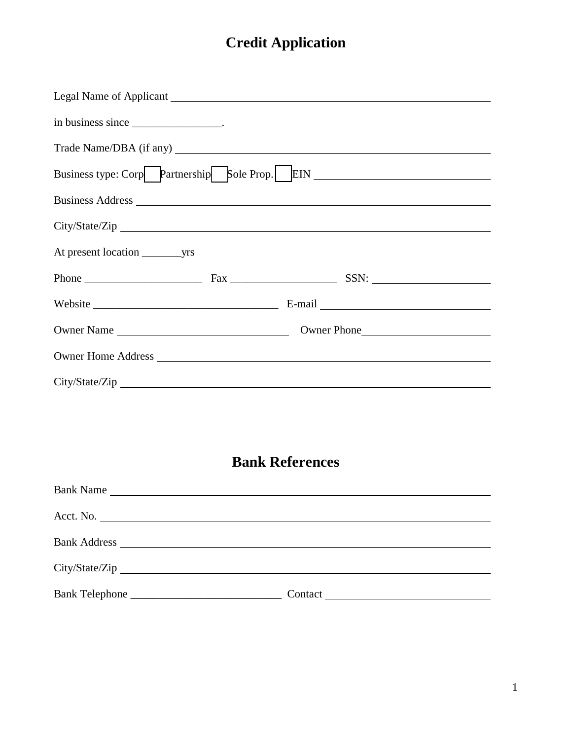## **Credit Application**

| in business since _____________________.       |  |  |  |  |
|------------------------------------------------|--|--|--|--|
|                                                |  |  |  |  |
| Business type: Corp Partnership Sole Prop. EIN |  |  |  |  |
|                                                |  |  |  |  |
|                                                |  |  |  |  |
|                                                |  |  |  |  |
|                                                |  |  |  |  |
|                                                |  |  |  |  |
|                                                |  |  |  |  |
|                                                |  |  |  |  |
|                                                |  |  |  |  |

## **Bank References**

| Bank Name |  |
|-----------|--|
| Acct. No. |  |
|           |  |
|           |  |
|           |  |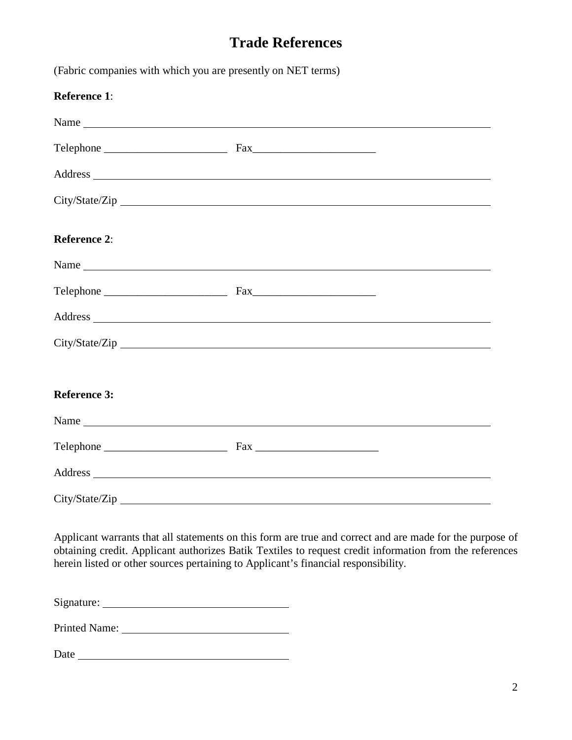## **Trade References**

| <b>Reference 1:</b> |                |  |
|---------------------|----------------|--|
|                     | Name           |  |
|                     |                |  |
|                     |                |  |
|                     | City/State/Zip |  |
| <b>Reference 2:</b> |                |  |
|                     |                |  |
|                     |                |  |
|                     |                |  |
|                     |                |  |
| <b>Reference 3:</b> |                |  |
|                     |                |  |
|                     |                |  |
|                     |                |  |
|                     | City/State/Zip |  |

Applicant warrants that all statements on this form are true and correct and are made for the purpose of obtaining credit. Applicant authorizes Batik Textiles to request credit information from the references herein listed or other sources pertaining to Applicant's financial responsibility.

Signature:

Printed Name: University of Printed Name:

Date